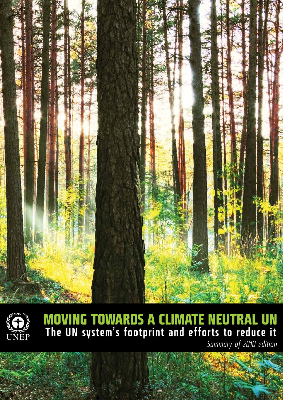



### MOVING TOWARDS A CLIMATE NEUTRAL UN The UN system's footprint and efforts to reduce it

*Summary of 2010 edition*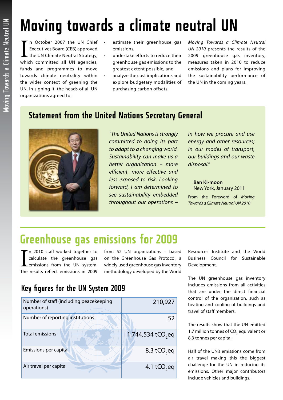# Noving Towards a Climate Neutral UN Moving Towards a Climate Neutral UN

# Moving towards a climate neutral UN

In October 2007 the UN Chief<br>Executives Board (CEB) approved<br>the UN Climate Neutral Strategy,<br>which committed all UN agencies, n October 2007 the UN Chief Executives Board (CEB) approved **the UN Climate Neutral Strategy,** funds and programmes to move towards climate neutrality within the wider context of greening the UN. In signing it, the heads of all UN organizations agreed to:

- estimate their greenhouse gas emissions,
- undertake efforts to reduce their greenhouse gas emissions to the greatest extent possible, and
- analyze the cost implications and explore budgetary modalities of purchasing carbon offsets.

*Moving Towards a Climate Neutral UN 2010* presents the results of the 2009 greenhouse gas inventory, measures taken in 2010 to reduce emissions and plans for improving the sustainability performance of the UN in the coming years.

#### Statement from the United Nations Secretary General



*"The United Nations is strongly committed to doing its part to adapt to a changing world. Sustainability can make us a better organization – more efficient, more effective and less exposed to risk. Looking forward, I am determined to see sustainability embedded throughout our operations –* 

*in how we procure and use energy and other resources; in our modes of transport, our buildings and our waste disposal."*

**Ban Ki-moon** New York, January 2011

From the Foreword of *Moving Towards a Climate Neutral UN 2010*

## Greenhouse gas emissions for 2009

In 2010 staff worked together to<br>calculate the greenhouse gas<br>emissions from the UN system.<br>The results reflect emissions in 2009 In 2010 staff worked together to calculate the greenhouse gas emissions from the UN system.

from 52 UN organizations – based on the Greenhouse Gas Protocol, a widely used greenhouse gas inventory methodology developed by the World

#### Key figures for the UN System 2009

| Number of staff (including peacekeeping<br>operations) | 210,927                       |
|--------------------------------------------------------|-------------------------------|
| Number of reporting institutions                       | 52                            |
| <b>Total emissions</b>                                 | 1,744,534 tCO <sub>2</sub> eq |
| Emissions per capita                                   | 8.3 tCO <sub>2</sub> eq       |
| Air travel per capita                                  | 4.1 tCO <sub>2</sub> eq       |

Resources Institute and the World Business Council for Sustainable Development.

The UN greenhouse gas inventory includes emissions from all activities that are under the direct financial control of the organization, such as heating and cooling of buildings and travel of staff members.

The results show that the UN emitted 1.7 million tonnes of  $CO<sub>2</sub>$  equivalent or 8.3 tonnes per capita.

Half of the UN's emissions come from air travel making this the biggest challenge for the UN in reducing its emissions. Other major contributors include vehicles and buildings.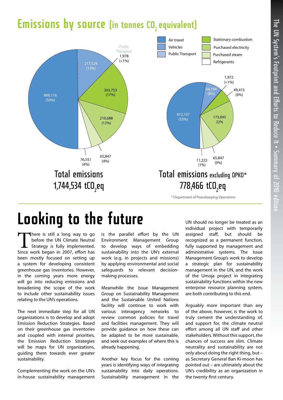#### Emissions by source (in tonnes CO<sub>2</sub> equivalent)



\* Department of Peacekeeping Operations

## Looking to the future

There is still a long way to go<br>before the UN Climate Neutral<br>Since work began in 2007 effort has before the UN Climate Neutral Strategy is fully implemented. Since work began in 2007, effort has been mostly focused on setting up a system for developing consistent greenhouse gas inventories. However, in the coming years more energy will go into reducing emissions and broadening the scope of the work to include other sustainability issues relating to the UN's operations.

The next immediate step for all UN organizations is to develop and adopt Emission Reduction Strategies. Based on their greenhouse gas inventories and coupled with internal priorities, the Emission Reduction Strategies will be maps for UN organizations, guiding them towards ever greater sustainability.

Complementing the work on the UN's in-house sustainability management is the parallel effort by the UN Environment Management Group to develop ways of embedding sustainability into the UN's external work (e.g. in projects and missions) by applying environmental and social safeguards to relevant decisionmaking processes.

Meanwhile the Issue Management Group on Sustainability Management and the Sustainable United Nations facility will continue to work with various interagency networks to review common policies for travel and facilities management. They will provide guidance on how these can be adapted to be more sustainable, and seek out examples of where this is already happening.

Another key focus for the coming years is identifying ways of integrating sustainability into daily operations. Sustainability management in the

UN should no longer be treated as an individual project with temporarily assigned staff, but should be recognized as a permanent function, fully supported by management and administrative systems. The Issue Management Group's work to develop a strategic plan for sustainability management in the UN, and the work of the Umoja project in integrating sustainability functions within the new enterprise resource planning system, are both contributing to this end.

Arguably more important than any of the above, however, is the work to truly cement the understanding of, and support for, the climate neutral effort among all UN staff and other stakeholders. Without this support, the chances of success are slim. Climate neutrality and sustainability are not only about doing the right thing, but – as Secretary General Ban Ki-moon has pointed out – are ultimately about the UN's credibility as an organization in the twenty-first century.